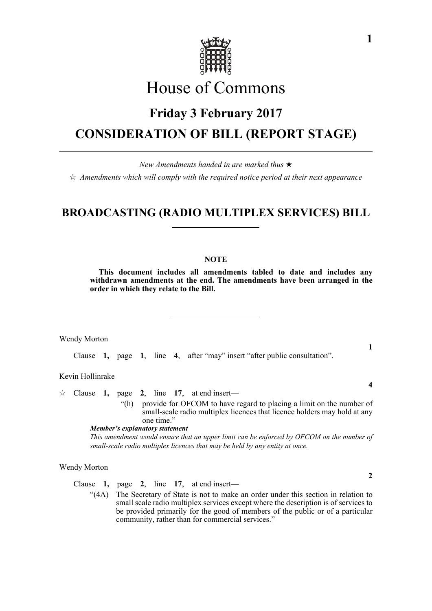

# House of Commons

### **Friday 3 February 2017**

## **CONSIDERATION OF BILL (REPORT STAGE)**

*New Amendments handed in are marked thus* 

 $\hat{\varphi}$  Amendments which will comply with the required notice period at their next appearance

### **BROADCASTING (RADIO MULTIPLEX SERVICES) BILL**

#### **NOTE**

**This document includes all amendments tabled to date and includes any withdrawn amendments at the end. The amendments have been arranged in the order in which they relate to the Bill.**

Wendy Morton

Clause **1,** page **1**, line **4**, after "may" insert "after public consultation".

Kevin Hollinrake

 $\approx$  Clause **1,** page **2**, line **17**, at end insert— "(h) provide for OFCOM to have regard to placing a limit on the number of

small-scale radio multiplex licences that licence holders may hold at any one time."

*Member's explanatory statement* 

*This amendment would ensure that an upper limit can be enforced by OFCOM on the number of small-scale radio multiplex licences that may be held by any entity at once.*

Wendy Morton

Clause **1,** page **2**, line **17**, at end insert—

"(4A) The Secretary of State is not to make an order under this section in relation to small scale radio multiplex services except where the description is of services to be provided primarily for the good of members of the public or of a particular community, rather than for commercial services."

**1**

**4**

**2**